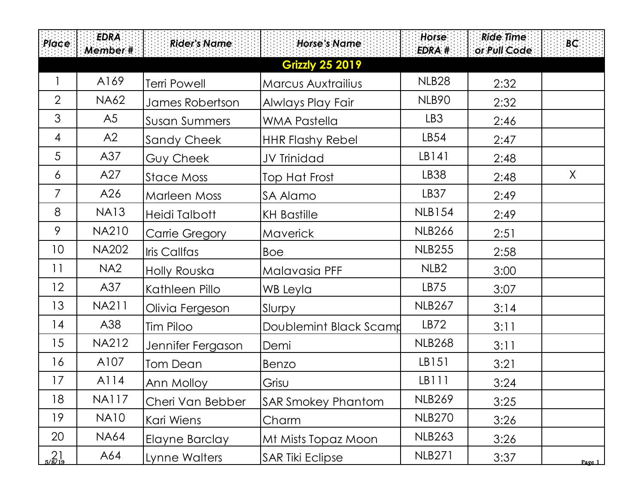| <b>Place</b>             | <b>EDRA</b><br>Member # | <b>Rider's Name</b>   | <b>Horse's Name</b>       | Horse<br>EDRA #   | <b>Ride Time</b><br>or Pull Code | BC     |
|--------------------------|-------------------------|-----------------------|---------------------------|-------------------|----------------------------------|--------|
|                          |                         |                       | <b>Grizzly 25 2019</b>    |                   |                                  |        |
|                          | A169                    | <b>Terri Powell</b>   | Marcus Auxtrailius        | NLB <sub>28</sub> | 2:32                             |        |
| $\overline{2}$           | <b>NA62</b>             | James Robertson       | Alwlays Play Fair         | <b>NLB90</b>      | 2:32                             |        |
| 3                        | A5                      | <b>Susan Summers</b>  | <b>WMA Pastella</b>       | LB3               | 2:46                             |        |
| 4                        | A2                      | Sandy Cheek           | <b>HHR Flashy Rebel</b>   | LB54              | 2:47                             |        |
| 5                        | A37                     | Guy Cheek             | JV Trinidad               | LB141             | 2:48                             |        |
| 6                        | A27                     | <b>Stace Moss</b>     | Top Hat Frost             | <b>LB38</b>       | 2:48                             | X      |
| $\overline{7}$           | A26                     | <b>Marleen Moss</b>   | SA Alamo                  | LB37              | 2:49                             |        |
| 8                        | <b>NA13</b>             | Heidi Talbott         | <b>KH Bastille</b>        | <b>NLB154</b>     | 2:49                             |        |
| 9                        | <b>NA210</b>            | <b>Carrie Gregory</b> | Maverick                  | <b>NLB266</b>     | 2:51                             |        |
| 10                       | <b>NA202</b>            | Iris Callfas          | <b>Boe</b>                | <b>NLB255</b>     | 2:58                             |        |
| 11                       | NA <sub>2</sub>         | Holly Rouska          | Malavasia PFF             | NLB <sub>2</sub>  | 3:00                             |        |
| 12                       | A37                     | Kathleen Pillo        | WB Leyla                  | LB75              | 3:07                             |        |
| 13                       | <b>NA211</b>            | Olivia Fergeson       | Slurpy                    | <b>NLB267</b>     | 3:14                             |        |
| 14                       | A38                     | Tim Piloo             | Doublemint Black Scamp    | LB72              | 3:11                             |        |
| 15                       | <b>NA212</b>            | Jennifer Fergason     | Demi                      | <b>NLB268</b>     | 3:11                             |        |
| 16                       | A107                    | <b>Tom Dean</b>       | Benzo                     | LB151             | 3:21                             |        |
| 17                       | A114                    | Ann Molloy            | Grisu                     | LB111             | 3:24                             |        |
| 18                       | <b>NA117</b>            | Cheri Van Bebber      | <b>SAR Smokey Phantom</b> | <b>NLB269</b>     | 3:25                             |        |
| 19                       | <b>NA10</b>             | Kari Wiens            | Charm                     | <b>NLB270</b>     | 3:26                             |        |
| 20                       | <b>NA64</b>             | Elayne Barclay        | Mt Mists Topaz Moon       | <b>NLB263</b>     | 3:26                             |        |
| $^{21}_{\frac{5}{8/19}}$ | A64                     | Lynne Walters         | <b>SAR Tiki Eclipse</b>   | <b>NLB271</b>     | 3:37                             | Page 1 |